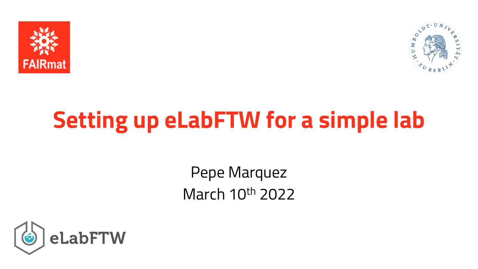



# **Setting up eLabFTW for a simple lab**

Pepe Marquez March 10th 2022

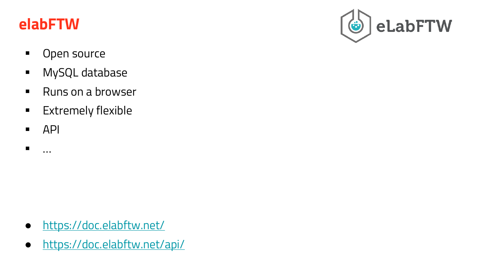#### **elabFTW**

- Open source
- MySQL database
- Runs on a browser
- **Extremely flexible**
- $\blacksquare$  API

▪ …

- <https://doc.elabftw.net/>
- <https://doc.elabftw.net/api/>

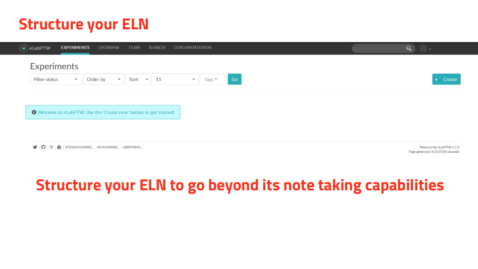# **Structure your ELN**



# **Structure your ELN to go beyond its note taking capabilities**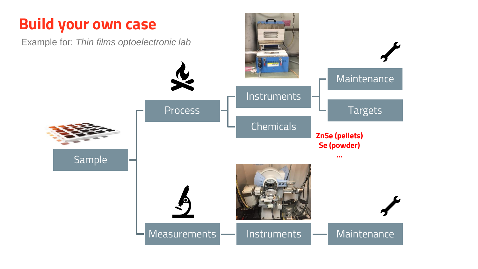# **Build your own case**

Example for: *Thin films optoelectronic lab*

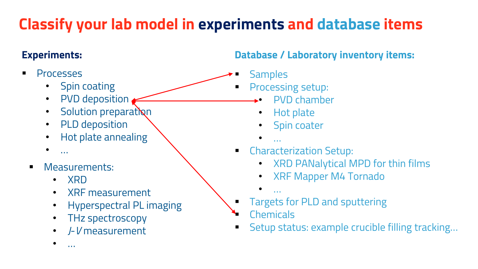# **Classify your lab model in experiments and database items**

- Processes
	- Spin coating
	- PVD deposition
	- Solution preparation
	- PLD deposition
	- Hot plate annealing
	- $\bullet$  …
	- Measurements:
		- XRD

 $\bullet$  …

- XRF measurement
- Hyperspectral PL imaging
- THz spectroscopy
- *J*-*V* measurement

**Experiments: Database / Laboratory inventory items:**

- **Samples**
- Processing setup:
	- PVD chamber
	- Hot plate
	- Spin coater
	- $\bullet$  …
- **Characterization Setup:** 
	- XRD PANalytical MPD for thin films
	- XRF Mapper M4 Tornado
	- …
- Targets for PLD and sputtering
- **Chemicals**
- Setup status: example crucible filling tracking...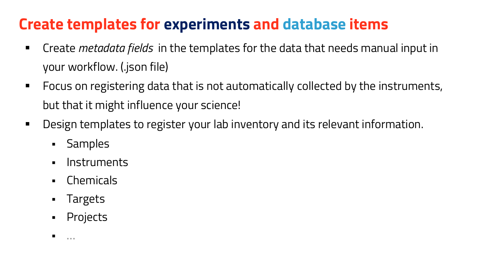# **Create templates for experiments and database items**

- Create *metadata fields* in the templates for the data that needs manual input in your workflow. (.json file)
- **•** Focus on registering data that is not automatically collected by the instruments, but that it might influence your science!
- Design templates to register your lab inventory and its relevant information.
	- **Samples**
	- Instruments
	- Chemicals
	- Targets
	- Projects

 $\blacksquare$